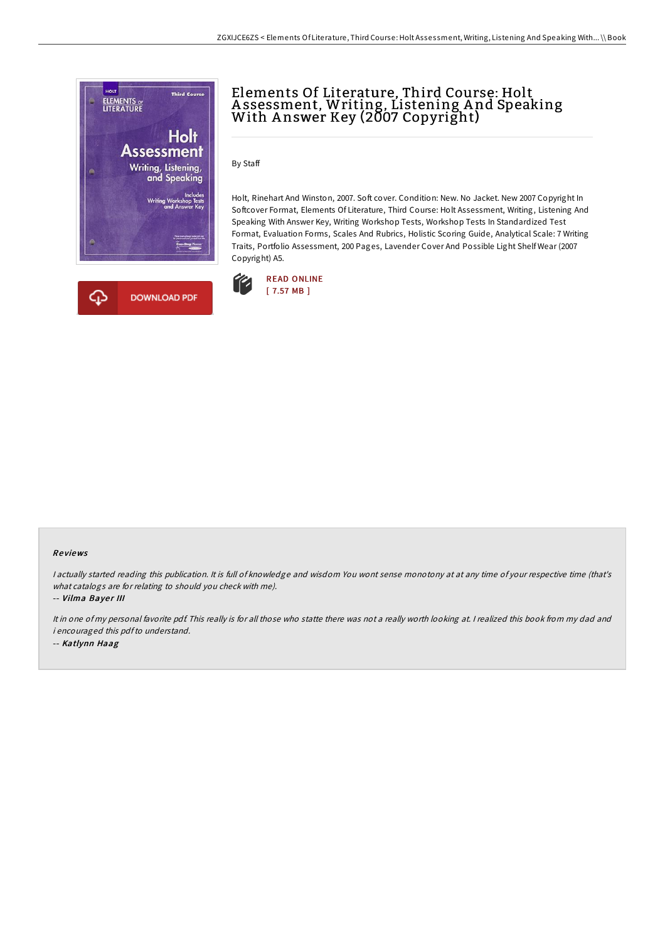

# Elements Of Literature, Third Course: Holt Assessment, Writing, Listening And Speaking<br>With Answer Key (2007 Copyright)

By Staff

Holt, Rinehart And Winston, 2007. Soft cover. Condition: New. No Jacket. New 2007 Copyright In Softcover Format, Elements Of Literature, Third Course: Holt Assessment, Writing, Listening And Speaking With Answer Key, Writing Workshop Tests, Workshop Tests In Standardized Test Format, Evaluation Forms, Scales And Rubrics, Holistic Scoring Guide, Analytical Scale: 7 Writing Traits, Portfolio Assessment, 200 Pages, Lavender Cover And Possible Light Shelf Wear (2007 Copyright) A5.



### Re views

<sup>I</sup> actually started reading this publication. It is full of knowledge and wisdom You wont sense monotony at at any time of your respective time (that's what catalogs are for relating to should you check with me).

-- Vilma Bayer III

It in one of my personal favorite pdf. This really is for all those who statte there was not <sup>a</sup> really worth looking at. <sup>I</sup> realized this book from my dad and i encouraged this pdfto understand. -- Katlynn Haag